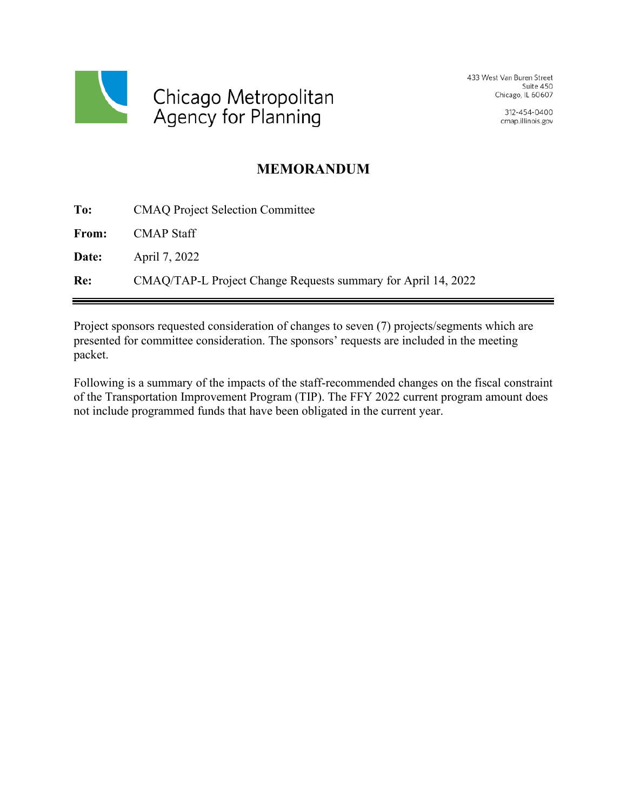

433 West Van Buren Street Suite 450 Chicago, IL 60607

> 312-454-0400 cmap.illinois.gov

## **MEMORANDUM**

| To:   | <b>CMAQ Project Selection Committee</b>                       |
|-------|---------------------------------------------------------------|
| From: | <b>CMAP Staff</b>                                             |
| Date: | April 7, 2022                                                 |
| Re:   | CMAQ/TAP-L Project Change Requests summary for April 14, 2022 |

Project sponsors requested consideration of changes to seven (7) projects/segments which are presented for committee consideration. The sponsors' requests are included in the meeting packet.

Following is a summary of the impacts of the staff-recommended changes on the fiscal constraint of the Transportation Improvement Program (TIP). The FFY 2022 current program amount does not include programmed funds that have been obligated in the current year.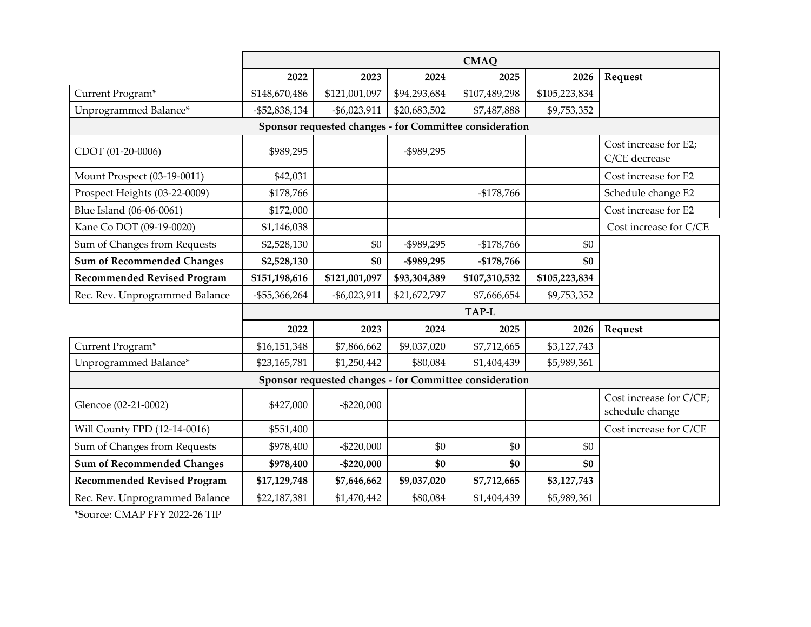|                                                         | <b>CMAQ</b>      |                 |              |                                                         |               |                                            |  |  |
|---------------------------------------------------------|------------------|-----------------|--------------|---------------------------------------------------------|---------------|--------------------------------------------|--|--|
|                                                         | 2022             | 2023            | 2024         | 2025                                                    | 2026          | Request                                    |  |  |
| Current Program*                                        | \$148,670,486    | \$121,001,097   | \$94,293,684 | \$107,489,298                                           | \$105,223,834 |                                            |  |  |
| Unprogrammed Balance*                                   | $-$ \$52,838,134 | $-$ \$6,023,911 | \$20,683,502 | \$7,487,888                                             | \$9,753,352   |                                            |  |  |
| Sponsor requested changes - for Committee consideration |                  |                 |              |                                                         |               |                                            |  |  |
| CDOT (01-20-0006)                                       | \$989,295        |                 | -\$989,295   |                                                         |               | Cost increase for E2;<br>C/CE decrease     |  |  |
| Mount Prospect (03-19-0011)                             | \$42,031         |                 |              |                                                         |               | Cost increase for E2                       |  |  |
| Prospect Heights (03-22-0009)                           | \$178,766        |                 |              | $-$178,766$                                             |               | Schedule change E2                         |  |  |
| Blue Island (06-06-0061)                                | \$172,000        |                 |              |                                                         |               | Cost increase for E2                       |  |  |
| Kane Co DOT (09-19-0020)                                | \$1,146,038      |                 |              |                                                         |               | Cost increase for C/CE                     |  |  |
| Sum of Changes from Requests                            | \$2,528,130      | \$0             | -\$989,295   | $-$178,766$                                             | \$0           |                                            |  |  |
| <b>Sum of Recommended Changes</b>                       | \$2,528,130      | \$0             | -\$989,295   | $-$178,766$                                             | \$0           |                                            |  |  |
| <b>Recommended Revised Program</b>                      | \$151,198,616    | \$121,001,097   | \$93,304,389 | \$107,310,532                                           | \$105,223,834 |                                            |  |  |
| Rec. Rev. Unprogrammed Balance                          | $-$ \$55,366,264 | $-$ \$6,023,911 | \$21,672,797 | \$7,666,654                                             | \$9,753,352   |                                            |  |  |
|                                                         | <b>TAP-L</b>     |                 |              |                                                         |               |                                            |  |  |
|                                                         | 2022             | 2023            | 2024         | 2025                                                    | 2026          | Request                                    |  |  |
| Current Program*                                        | \$16,151,348     | \$7,866,662     | \$9,037,020  | \$7,712,665                                             | \$3,127,743   |                                            |  |  |
| Unprogrammed Balance*                                   | \$23,165,781     | \$1,250,442     | \$80,084     | \$1,404,439                                             | \$5,989,361   |                                            |  |  |
|                                                         |                  |                 |              | Sponsor requested changes - for Committee consideration |               |                                            |  |  |
| Glencoe (02-21-0002)                                    | \$427,000        | $-$ \$220,000   |              |                                                         |               | Cost increase for C/CE;<br>schedule change |  |  |
| Will County FPD (12-14-0016)                            | \$551,400        |                 |              |                                                         |               | Cost increase for C/CE                     |  |  |
| Sum of Changes from Requests                            | \$978,400        | $-$ \$220,000   | \$0          | \$0                                                     | \$0           |                                            |  |  |
| <b>Sum of Recommended Changes</b>                       | \$978,400        | $-$ \$220,000   | \$0          | \$0                                                     | \$0           |                                            |  |  |
| <b>Recommended Revised Program</b>                      | \$17,129,748     | \$7,646,662     | \$9,037,020  | \$7,712,665                                             | \$3,127,743   |                                            |  |  |
| Rec. Rev. Unprogrammed Balance                          | \$22,187,381     | \$1,470,442     | \$80,084     | \$1,404,439                                             | \$5,989,361   |                                            |  |  |

\*Source: CMAP FFY 2022-26 TIP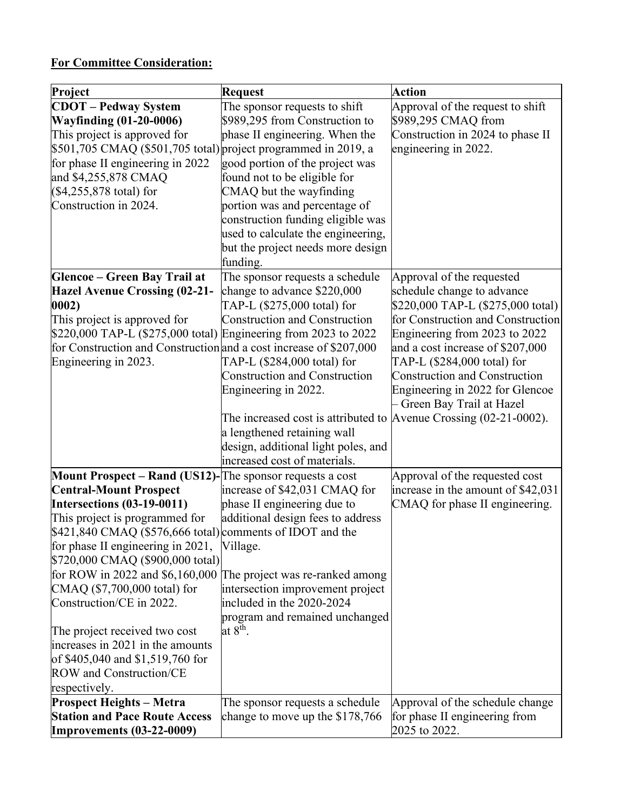## **For Committee Consideration:**

| Project                                                            | <b>Request</b>                                                       | <b>Action</b>                                                   |
|--------------------------------------------------------------------|----------------------------------------------------------------------|-----------------------------------------------------------------|
| <b>CDOT</b> – Pedway System                                        | The sponsor requests to shift                                        | Approval of the request to shift                                |
| <b>Wayfinding (01-20-0006)</b>                                     | \$989,295 from Construction to                                       | \$989,295 CMAQ from                                             |
| This project is approved for                                       | phase II engineering. When the                                       | Construction in 2024 to phase II                                |
| \$501,705 CMAQ (\$501,705 total) project programmed in 2019, a     |                                                                      | engineering in 2022.                                            |
| for phase II engineering in 2022                                   | good portion of the project was                                      |                                                                 |
| and \$4,255,878 CMAQ                                               | found not to be eligible for                                         |                                                                 |
| (\$4,255,878 total) for                                            | CMAQ but the wayfinding                                              |                                                                 |
| Construction in 2024.                                              | portion was and percentage of                                        |                                                                 |
|                                                                    | construction funding eligible was                                    |                                                                 |
|                                                                    | used to calculate the engineering,                                   |                                                                 |
|                                                                    | but the project needs more design                                    |                                                                 |
|                                                                    | funding.                                                             |                                                                 |
| <b>Glencoe - Green Bay Trail at</b>                                | The sponsor requests a schedule                                      | Approval of the requested                                       |
| <b>Hazel Avenue Crossing (02-21-</b>                               | change to advance \$220,000                                          | schedule change to advance                                      |
| 0002)                                                              | TAP-L (\$275,000 total) for                                          | \$220,000 TAP-L (\$275,000 total)                               |
| This project is approved for                                       | <b>Construction and Construction</b>                                 | for Construction and Construction                               |
| \$220,000 TAP-L (\$275,000 total) Engineering from 2023 to 2022    |                                                                      | Engineering from 2023 to 2022                                   |
| for Construction and Construction and a cost increase of \$207,000 | TAP-L (\$284,000 total) for                                          | and a cost increase of \$207,000<br>TAP-L (\$284,000 total) for |
| Engineering in 2023.                                               | <b>Construction and Construction</b>                                 | <b>Construction and Construction</b>                            |
|                                                                    | Engineering in 2022.                                                 | Engineering in 2022 for Glencoe                                 |
|                                                                    |                                                                      | Green Bay Trail at Hazel                                        |
|                                                                    | The increased cost is attributed to $A$ venue Crossing (02-21-0002). |                                                                 |
|                                                                    | a lengthened retaining wall                                          |                                                                 |
|                                                                    | design, additional light poles, and                                  |                                                                 |
|                                                                    | increased cost of materials.                                         |                                                                 |
| <b>Mount Prospect – Rand (US12)-</b> The sponsor requests a cost   |                                                                      | Approval of the requested cost                                  |
| <b>Central-Mount Prospect</b>                                      | increase of \$42,031 CMAQ for                                        | increase in the amount of \$42,031                              |
| <b>Intersections (03-19-0011)</b>                                  | phase II engineering due to                                          | CMAQ for phase II engineering.                                  |
| This project is programmed for                                     | additional design fees to address                                    |                                                                 |
| $$421,840$ CMAQ (\$576,666 total) comments of IDOT and the         |                                                                      |                                                                 |
| for phase II engineering in 2021,                                  | Village.                                                             |                                                                 |
| \$720,000 CMAQ (\$900,000 total)                                   |                                                                      |                                                                 |
| for ROW in 2022 and \$6,160,000                                    | The project was re-ranked among                                      |                                                                 |
| CMAQ (\$7,700,000 total) for                                       | intersection improvement project                                     |                                                                 |
| Construction/CE in 2022.                                           | included in the 2020-2024                                            |                                                                 |
|                                                                    | program and remained unchanged                                       |                                                                 |
| The project received two cost                                      | at $8^{\text{th}}$ .                                                 |                                                                 |
| increases in 2021 in the amounts                                   |                                                                      |                                                                 |
| of \$405,040 and \$1,519,760 for<br>ROW and Construction/CE        |                                                                      |                                                                 |
| respectively.                                                      |                                                                      |                                                                 |
| <b>Prospect Heights - Metra</b>                                    | The sponsor requests a schedule                                      | Approval of the schedule change                                 |
| <b>Station and Pace Route Access</b>                               | change to move up the $$178,766$                                     | for phase II engineering from                                   |
| <b>Improvements (03-22-0009)</b>                                   |                                                                      | 2025 to 2022.                                                   |
|                                                                    |                                                                      |                                                                 |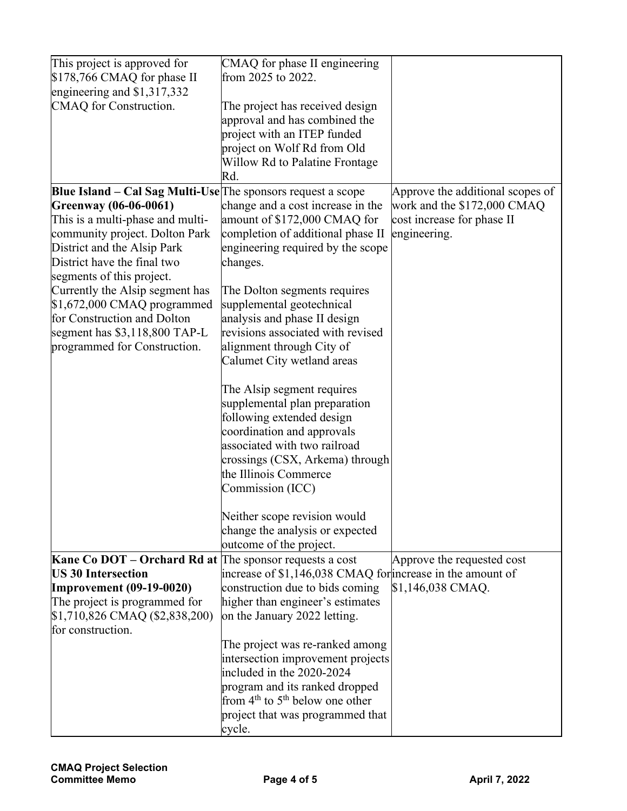| This project is approved for                                        | CMAQ for phase II engineering                                     |                                  |
|---------------------------------------------------------------------|-------------------------------------------------------------------|----------------------------------|
| \$178,766 CMAQ for phase II                                         | from 2025 to 2022.                                                |                                  |
| engineering and $$1,317,332$                                        |                                                                   |                                  |
| CMAQ for Construction.                                              | The project has received design                                   |                                  |
|                                                                     | approval and has combined the                                     |                                  |
|                                                                     | project with an ITEP funded                                       |                                  |
|                                                                     | project on Wolf Rd from Old                                       |                                  |
|                                                                     | Willow Rd to Palatine Frontage                                    |                                  |
|                                                                     | Rd.                                                               |                                  |
| <b>Blue Island – Cal Sag Multi-Use</b> The sponsors request a scope |                                                                   | Approve the additional scopes of |
| Greenway (06-06-0061)                                               | change and a cost increase in the                                 | work and the \$172,000 CMAQ      |
| This is a multi-phase and multi-                                    | amount of \$172,000 CMAQ for                                      | cost increase for phase II       |
| community project. Dolton Park                                      | completion of additional phase II                                 | engineering.                     |
| District and the Alsip Park                                         | engineering required by the scope                                 |                                  |
| District have the final two                                         |                                                                   |                                  |
|                                                                     | changes.                                                          |                                  |
| segments of this project.                                           |                                                                   |                                  |
| Currently the Alsip segment has<br>$$1,672,000$ CMAQ programmed     | The Dolton segments requires<br>supplemental geotechnical         |                                  |
| for Construction and Dolton                                         |                                                                   |                                  |
|                                                                     | analysis and phase II design<br>revisions associated with revised |                                  |
| segment has $$3,118,800$ TAP-L                                      |                                                                   |                                  |
| programmed for Construction.                                        | alignment through City of                                         |                                  |
|                                                                     | Calumet City wetland areas                                        |                                  |
|                                                                     |                                                                   |                                  |
|                                                                     | The Alsip segment requires                                        |                                  |
|                                                                     | supplemental plan preparation                                     |                                  |
|                                                                     | following extended design                                         |                                  |
|                                                                     | coordination and approvals                                        |                                  |
|                                                                     | associated with two railroad                                      |                                  |
|                                                                     | crossings (CSX, Arkema) through                                   |                                  |
|                                                                     | the Illinois Commerce                                             |                                  |
|                                                                     | Commission (ICC)                                                  |                                  |
|                                                                     |                                                                   |                                  |
|                                                                     | Neither scope revision would                                      |                                  |
|                                                                     | change the analysis or expected                                   |                                  |
|                                                                     | outcome of the project.                                           |                                  |
| Kane Co DOT – Orchard Rd at The sponsor requests a cost             |                                                                   | Approve the requested cost       |
| <b>US 30 Intersection</b>                                           | increase of \$1,146,038 CMAQ for increase in the amount of        |                                  |
| <b>Improvement (09-19-0020)</b>                                     | construction due to bids coming                                   | \$1,146,038 CMAQ.                |
| The project is programmed for                                       | higher than engineer's estimates                                  |                                  |
| \$1,710,826 CMAQ (\$2,838,200)                                      | on the January 2022 letting.                                      |                                  |
| for construction.                                                   |                                                                   |                                  |
|                                                                     | The project was re-ranked among                                   |                                  |
|                                                                     | intersection improvement projects                                 |                                  |
|                                                                     | included in the 2020-2024                                         |                                  |
|                                                                     | program and its ranked dropped                                    |                                  |
|                                                                     | from $4th$ to $5th$ below one other                               |                                  |
|                                                                     | project that was programmed that                                  |                                  |
|                                                                     | cycle.                                                            |                                  |